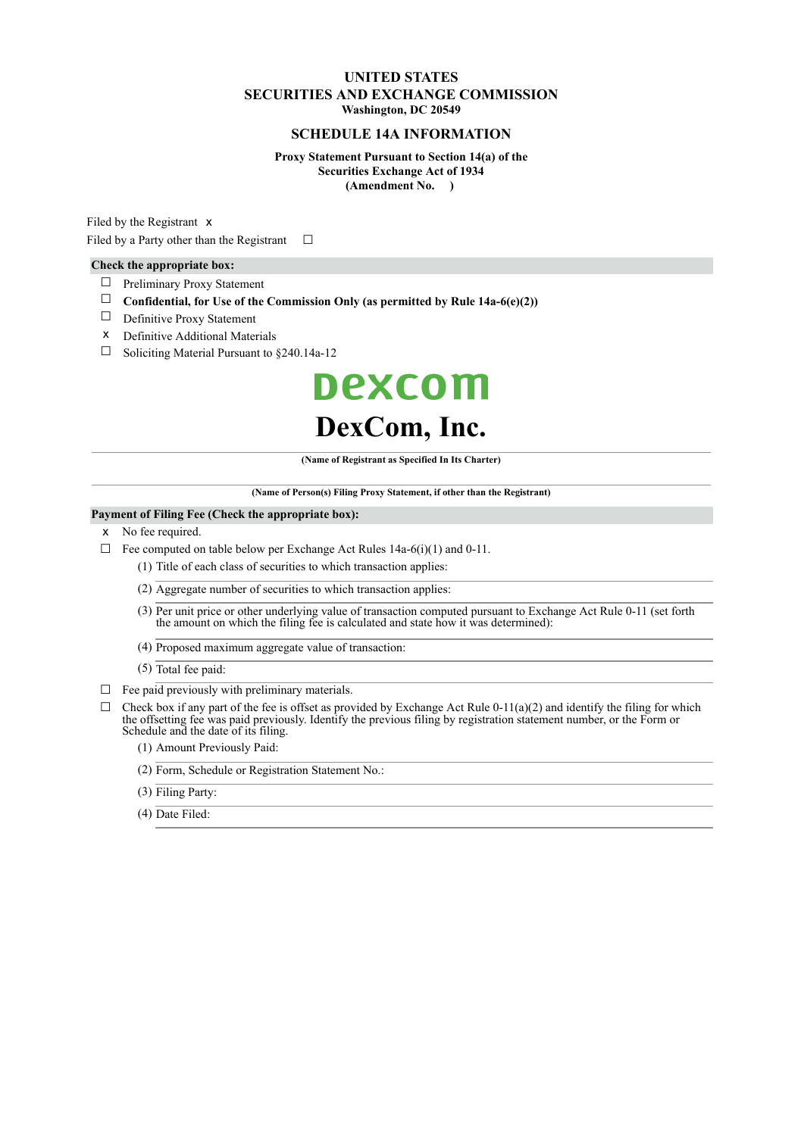#### **UNITED STATES SECURITIES AND EXCHANGE COMMISSION Washington, DC 20549**

#### **SCHEDULE 14A INFORMATION**

**Proxy Statement Pursuant to Section 14(a) of the Securities Exchange Act of 1934 (Amendment No. )**

Filed by the Registrant x Filed by a Party other than the Registrant  $□$ 

#### **Check the appropriate box:**

- ☐ Preliminary Proxy Statement
- ☐ **Confidential, for Use of the Commission Only (as permitted by Rule 14a-6(e)(2))**
- ☐ Definitive Proxy Statement
- x Definitive Additional Materials
- $\Box$  Soliciting Material Pursuant to §240.14a-12

# **Dexcom DexCom, Inc.**

**(Name of Registrant as Specified In Its Charter)**

**(Name of Person(s) Filing Proxy Statement, if other than the Registrant)**

#### **Payment of Filing Fee (Check the appropriate box):**

- x No fee required.
- $\Box$  Fee computed on table below per Exchange Act Rules 14a-6(i)(1) and 0-11.

(1) Title of each class of securities to which transaction applies:

- (2) Aggregate number of securities to which transaction applies:
- (3) Per unit price or other underlying value of transaction computed pursuant to Exchange Act Rule 0-11 (set forth the amount on which the filing fee is calculated and state how it was determined):
- (4) Proposed maximum aggregate value of transaction:
- (5) Total fee paid:
- $\Box$  Fee paid previously with preliminary materials.
- $\Box$  Check box if any part of the fee is offset as provided by Exchange Act Rule 0-11(a)(2) and identify the filing for which the offsetting fee was paid previously. Identify the previous filing by registration statement number, or the Form or Schedule and the date of its filing.
	- (1) Amount Previously Paid:
	- (2) Form, Schedule or Registration Statement No.:
	- (3) Filing Party:
	- (4) Date Filed: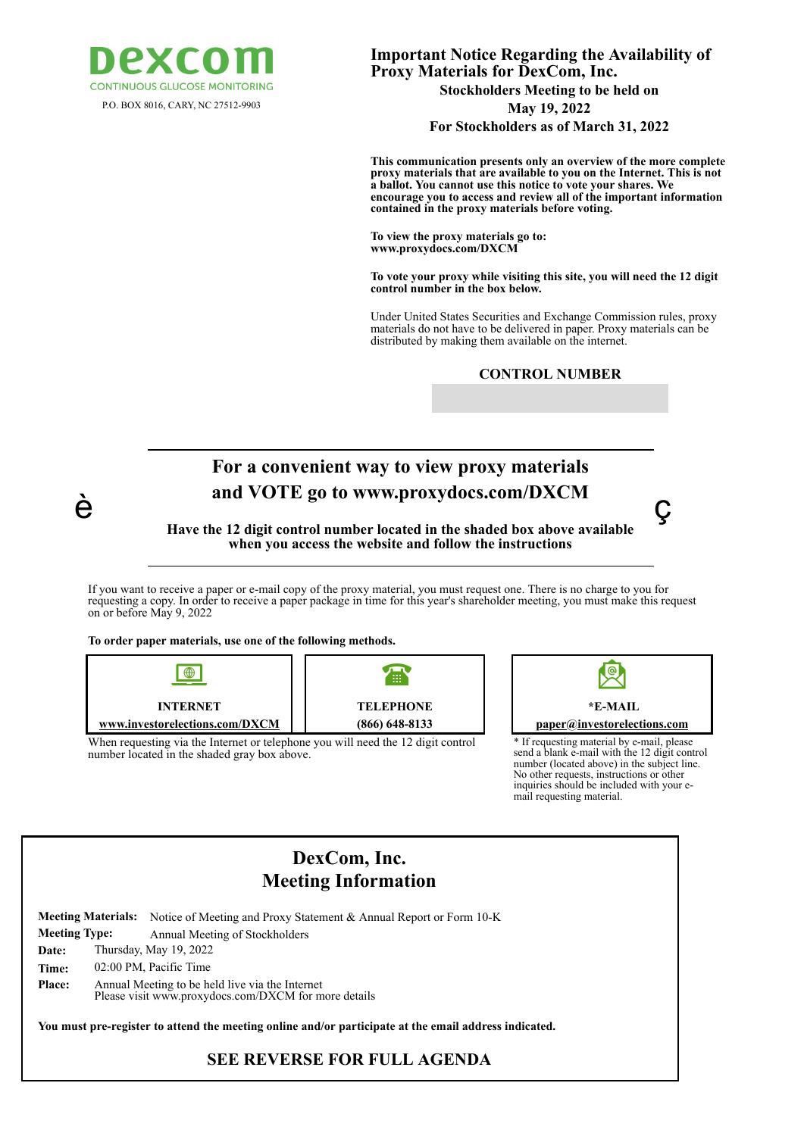

**Important Notice Regarding the Availability of Proxy Materials for DexCom, Inc. Stockholders Meeting to be held on**

P.O. BOX 8016, CARY, NC 27512-9903 **May 19, 2022 For Stockholders as of March 31, 2022**

> **This communication presents only an overview of the more complete proxy materials that are available to you on the Internet. This is not a ballot. You cannot use this notice to vote your shares. We encourage you to access and review all of the important information contained in the proxy materials before voting.**

**To view the proxy materials go to: www.proxydocs.com/DXCM**

**To vote your proxy while visiting this site, you will need the 12 digit control number in the box below.**

Under United States Securities and Exchange Commission rules, proxy materials do not have to be delivered in paper. Proxy materials can be distributed by making them available on the internet.

# **For a convenient way to view proxy materials and VOTE go to www.proxydocs.com/DXCM**

## **Have the 12 digit control number located in the shaded box above available when you access the website and follow the instructions**

If you want to receive a paper or e-mail copy of the proxy material, you must request one. There is no charge to you for requesting a copy. In order to receive a paper package in time for this year's shareholder meeting, you must make this request on or before May 9, 2022

**To order paper materials, use one of the following methods.**

è



When requesting via the Internet or telephone you will need the 12 digit control number located in the shaded gray box above.



ç

\* If requesting material by e-mail, please send a blank e-mail with the 12 digit control number (located above) in the subject line. No other requests, instructions or other inquiries should be included with your email requesting material.

## **DexCom, Inc. Meeting Information**

|                      | <b>Meeting Materials:</b>                                                                               | Notice of Meeting and Proxy Statement & Annual Report or Form 10-K |
|----------------------|---------------------------------------------------------------------------------------------------------|--------------------------------------------------------------------|
| <b>Meeting Type:</b> |                                                                                                         | Annual Meeting of Stockholders                                     |
| Date:                | Thursday, May 19, 2022                                                                                  |                                                                    |
| Time:                | 02:00 PM, Pacific Time                                                                                  |                                                                    |
| <b>Place:</b>        | Annual Meeting to be held live via the Internet<br>Please visit www.proxydocs.com/DXCM for more details |                                                                    |

**You must pre-register to attend the meeting online and/or participate at the email address indicated.**

**SEE REVERSE FOR FULL AGENDA**